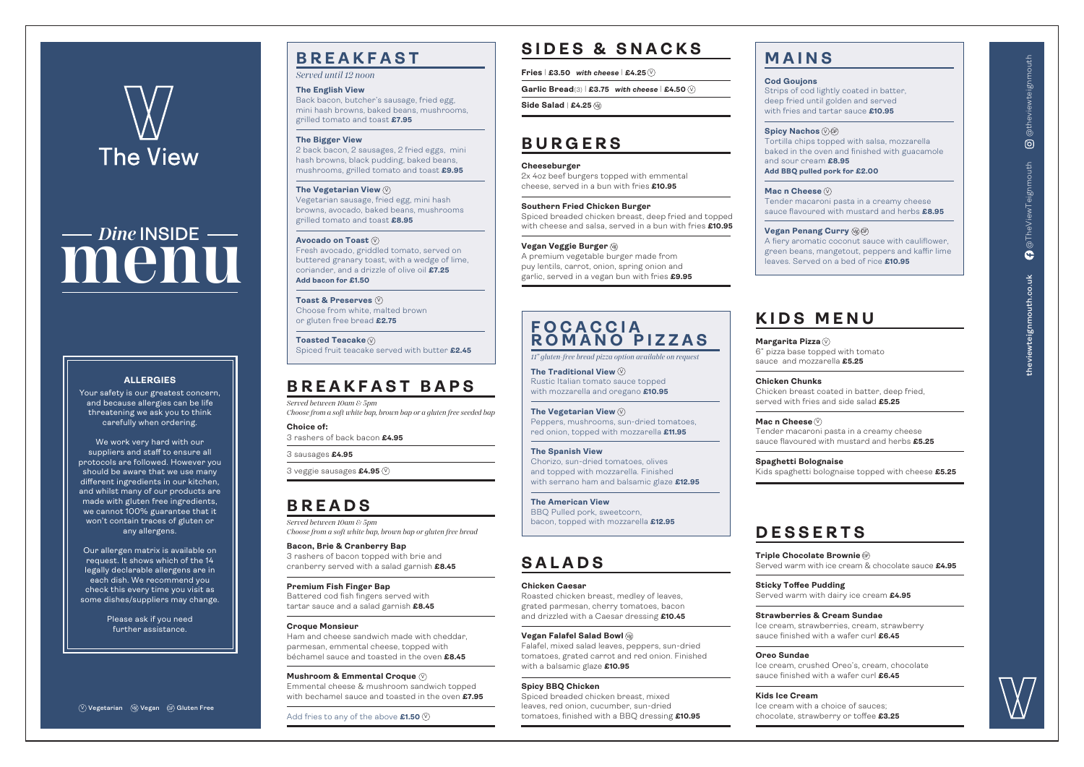# **KIDS MENU**

6" pizza base topped with tomato

sauce and mozzarella **£5.25**

**Chicken Chunks** Chicken breast coated in batter, deep fried, served with fries and side salad **£5.25**

# **Margarita Pizza** V

 $\blacksquare$  **Triple Chocolate Brownie** @ Served warm with ice cream & chocolate sauce **£4.95**

**Mac n Cheese** V Tender macaroni pasta in a creamy cheese sauce flavoured with mustard and herbs **£5.25**

**Spaghetti Bolognaise** Kids spaghetti bolognaise topped with cheese **£5.25**

# **DESSERTS**

**Sticky Toffee Pudding** Served warm with dairy ice cream **£4.95**

### **Strawberries & Cream Sundae** Ice cream, strawberries, cream, strawberry sauce finished with a wafer curl **£6.45**

**Oreo Sundae** Ice cream, crushed Oreo's, cream, chocolate sauce finished with a wafer curl **£6.45**

**Kids Ice Cream** Ice cream with a choice of sauces; chocolate, strawberry or toffee **£3.25**

# **SIDES & SNACKS**

**Fries** | **£3.50** *with cheese* | **£4.25** V

**Garlic Bread**(3) | **£3.75** *with cheese* | **£4.50** V

# **BURGERS**

### **Cheeseburger**

2x 4oz beef burgers topped with emmental cheese, served in a bun with fries **£10.95**

**Southern Fried Chicken Burger** Spiced breaded chicken breast, deep fried and topped with cheese and salsa, served in a bun with fries **£10.95**

### **Vegan Veggie Burger**  $\mathbb{Q}_9$

A premium vegetable burger made from puy lentils, carrot, onion, spring onion and garlic, served in a vegan bun with fries **£9.95**

# **SALADS**

**Side Salad** | **£4.25** Vg

### **Chicken Caesar**

Roasted chicken breast, medley of leaves, grated parmesan, cherry tomatoes, bacon and drizzled with a Caesar dressing **£10.45**

### **Vegan Falafel Salad Bowl**  $\circledast$

Falafel, mixed salad leaves, peppers, sun-dried tomatoes, grated carrot and red onion. Finished with a balsamic glaze **£10.95**

### **Spicy BBQ Chicken**

Spiced breaded chicken breast, mixed leaves, red onion, cucumber, sun-dried tomatoes, finished with a BBQ dressing **£10.95**

# **BREAKFAST**

*Served until 12 noon*

### **The English View**

**Mac n Cheese**  $\heartsuit$ Tender macaroni pasta in a creamy cheese sauce flavoured with mustard and herbs **£8.95**

### **Vegan Penang Curry ୱ** $\circledast$

Back bacon, butcher's sausage, fried egg, mini hash browns, baked beans, mushrooms, grilled tomato and toast **£7.95**

### **The Bigger View**

2 back bacon, 2 sausages, 2 fried eggs, mini hash browns, black pudding, baked beans, mushrooms, grilled tomato and toast **£9.95**

> The Traditional View  $\mathbb {V}$ Rustic Italian tomato sauce topped with mozzarella and oregano **£10.95**

Vegetarian sausage, fried egg, mini hash browns, avocado, baked beans, mushrooms grilled tomato and toast **£8.95**

Fresh avocado, griddled tomato, served on buttered granary toast, with a wedge of lime, coriander, and a drizzle of olive oil **£7.25 Add bacon for £1.50**

**Toast & Preserves** V Choose from white, malted brown or gluten free bread **£2.75**

**Toasted Teacake** V Spiced fruit teacake served with butter **£2.45**

# **BREAKFAST BAPS**

*Served between 10am & 5pm Choose from a soft white bap, brown bap or a gluten free seeded bap*

**Choice of:** 3 rashers of back bacon **£4.95**

3 sausages **£4.95**

## **BREADS**

*Served between 10am & 5pm Choose from a soft white bap, brown bap or gluten free bread*

**Bacon, Brie & Cranberry Bap** 3 rashers of bacon topped with brie and cranberry served with a salad garnish **£8.45**

**Premium Fish Finger Bap** Battered cod fish fingers served with tartar sauce and a salad garnish **£8.45**

### **The Vegetarian View** V

### **Croque Monsieur**

### **Avocado on Toast** V

Ham and cheese sandwich made with cheddar, parmesan, emmental cheese, topped with béchamel sauce and toasted in the oven **£8.45**

Emmental cheese & mushroom sandwich topped with bechamel sauce and toasted in the oven **£7.95**

3 veggie sausages **£4.95** V

# **MAINS**

# **Cod Goujons**

# **Spicy Nachos** ∨)ଙ

Strips of cod lightly coated in batter, deep fried until golden and served with fries and tartar sauce **£10.95**

**Mushroom & Emmental Croque** V

Tortilla chips topped with salsa, mozzarella baked in the oven and finished with guacamole and sour cream **£8.95**

Add fries to any of the above **£1.50** V

**Add BBQ pulled pork for £2.00**

A fiery aromatic coconut sauce with cauliflower, green beans, mangetout, peppers and kaffir lime leaves. Served on a bed of rice **£10.95**

### V **Vegetarian** Vg **Vegan** GF **Gluten Free**



# **FOCACCIA ROMANO PIZZAS**

*11" gluten-free bread pizza option available on request* 

V **The Vegetarian View** Peppers, mushrooms, sun-dried tomatoes, red onion, topped with mozzarella **£11.95**

**The Spanish View** Chorizo, sun-dried tomatoes, olives and topped with mozzarella. Finished with serrano ham and balsamic glaze **£12.95**

**The American View** BBQ Pulled pork, sweetcorn, bacon, topped with mozzarella **£12.95**

### **ALLERGIES**

Your safety is our greatest concern, and because allergies can be life threatening we ask you to think carefully when ordering.

# The View

# **menu** *Dine* **INSIDE**

We work very hard with our suppliers and staff to ensure all protocols are followed. However you should be aware that we use many different ingredients in our kitchen, and whilst many of our products are made with gluten free ingredients, we cannot 100% guarantee that it won't contain traces of gluten or any allergens.

Our allergen matrix is available on request. It shows which of the 14 legally declarable allergens are in each dish. We recommend you check this every time you visit as some dishes/suppliers may change.

> Please ask if you need further assistance.